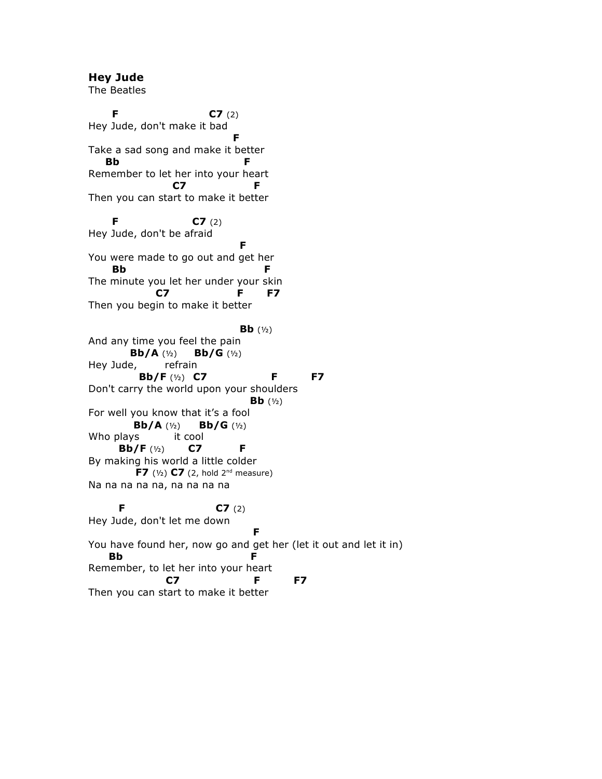## **Hey Jude** The Beatles

**F C7** (2) Hey Jude, don't make it bad **F** F  $\overline{F}$ Take a sad song and make it better  **Bb F** Remember to let her into your heart  **C7 F** Then you can start to make it better **F C7** (2) Hey Jude, don't be afraid **F** You were made to go out and get her  **Bb F** The minute you let her under your skin  **C7 F F7** Then you begin to make it better **Bb**  $(\frac{1}{2})$ And any time you feel the pain **Bb/A** (½) **Bb/G** (½) Hey Jude, refrain  **Bb/F** (½) **C7 F F7** Don't carry the world upon your shoulders **Bb**  $(\frac{1}{2})$ For well you know that it's a fool **Bb/A** (½) **Bb/G** (½) Who plays it cool  **Bb/F** (½) **C7 F** By making his world a little colder **F7** ( $\frac{1}{2}$ ) **C7** (2, hold  $2^{nd}$  measure) Na na na na na, na na na na **F C7** (2) Hey Jude, don't let me down  **F** You have found her, now go and get her (let it out and let it in)  **Bb F** Remember, to let her into your heart  **C7 F F7** Then you can start to make it better